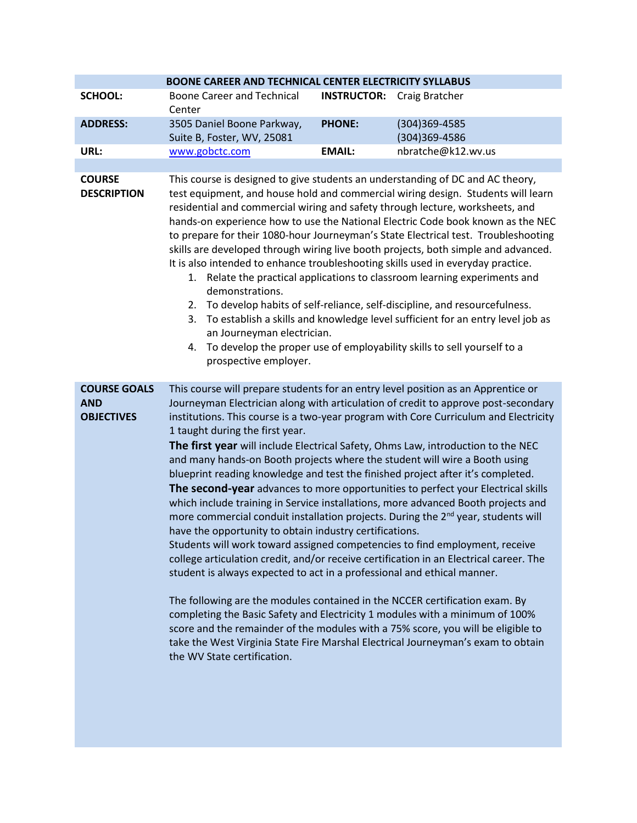|                                     | BOONE CAREER AND TECHNICAL CENTER ELECTRICITY SYLLABUS                                                                                                                                                                                                                                                                                                                                                                                                                                                                                                                                                                                                                                                                                                                                                                                                                                                                                                                                                                     |                    |                                                                                                                                                                                                                                                                        |  |  |
|-------------------------------------|----------------------------------------------------------------------------------------------------------------------------------------------------------------------------------------------------------------------------------------------------------------------------------------------------------------------------------------------------------------------------------------------------------------------------------------------------------------------------------------------------------------------------------------------------------------------------------------------------------------------------------------------------------------------------------------------------------------------------------------------------------------------------------------------------------------------------------------------------------------------------------------------------------------------------------------------------------------------------------------------------------------------------|--------------------|------------------------------------------------------------------------------------------------------------------------------------------------------------------------------------------------------------------------------------------------------------------------|--|--|
| <b>SCHOOL:</b>                      | <b>Boone Career and Technical</b><br>Center                                                                                                                                                                                                                                                                                                                                                                                                                                                                                                                                                                                                                                                                                                                                                                                                                                                                                                                                                                                | <b>INSTRUCTOR:</b> | Craig Bratcher                                                                                                                                                                                                                                                         |  |  |
| <b>ADDRESS:</b>                     | 3505 Daniel Boone Parkway,<br>Suite B, Foster, WV, 25081                                                                                                                                                                                                                                                                                                                                                                                                                                                                                                                                                                                                                                                                                                                                                                                                                                                                                                                                                                   | <b>PHONE:</b>      | (304) 369-4585<br>(304)369-4586                                                                                                                                                                                                                                        |  |  |
| URL:                                | www.gobctc.com                                                                                                                                                                                                                                                                                                                                                                                                                                                                                                                                                                                                                                                                                                                                                                                                                                                                                                                                                                                                             | <b>EMAIL:</b>      | nbratche@k12.wv.us                                                                                                                                                                                                                                                     |  |  |
|                                     |                                                                                                                                                                                                                                                                                                                                                                                                                                                                                                                                                                                                                                                                                                                                                                                                                                                                                                                                                                                                                            |                    |                                                                                                                                                                                                                                                                        |  |  |
| <b>COURSE</b><br><b>DESCRIPTION</b> | This course is designed to give students an understanding of DC and AC theory,<br>test equipment, and house hold and commercial wiring design. Students will learn<br>residential and commercial wiring and safety through lecture, worksheets, and<br>hands-on experience how to use the National Electric Code book known as the NEC<br>to prepare for their 1080-hour Journeyman's State Electrical test. Troubleshooting<br>skills are developed through wiring live booth projects, both simple and advanced.<br>It is also intended to enhance troubleshooting skills used in everyday practice.<br>1. Relate the practical applications to classroom learning experiments and<br>demonstrations.<br>To develop habits of self-reliance, self-discipline, and resourcefulness.<br>2.<br>To establish a skills and knowledge level sufficient for an entry level job as<br>3.<br>an Journeyman electrician.<br>To develop the proper use of employability skills to sell yourself to a<br>4.<br>prospective employer. |                    |                                                                                                                                                                                                                                                                        |  |  |
| <b>COURSE GOALS</b><br><b>AND</b>   |                                                                                                                                                                                                                                                                                                                                                                                                                                                                                                                                                                                                                                                                                                                                                                                                                                                                                                                                                                                                                            |                    | This course will prepare students for an entry level position as an Apprentice or<br>Journeyman Electrician along with articulation of credit to approve post-secondary                                                                                                |  |  |
| <b>OBJECTIVES</b>                   | institutions. This course is a two-year program with Core Curriculum and Electricity<br>1 taught during the first year.                                                                                                                                                                                                                                                                                                                                                                                                                                                                                                                                                                                                                                                                                                                                                                                                                                                                                                    |                    |                                                                                                                                                                                                                                                                        |  |  |
|                                     | The first year will include Electrical Safety, Ohms Law, introduction to the NEC<br>and many hands-on Booth projects where the student will wire a Booth using<br>blueprint reading knowledge and test the finished project after it's completed.                                                                                                                                                                                                                                                                                                                                                                                                                                                                                                                                                                                                                                                                                                                                                                          |                    |                                                                                                                                                                                                                                                                        |  |  |
|                                     | have the opportunity to obtain industry certifications.                                                                                                                                                                                                                                                                                                                                                                                                                                                                                                                                                                                                                                                                                                                                                                                                                                                                                                                                                                    |                    | The second-year advances to more opportunities to perfect your Electrical skills<br>which include training in Service installations, more advanced Booth projects and<br>more commercial conduit installation projects. During the 2 <sup>nd</sup> year, students will |  |  |
|                                     | student is always expected to act in a professional and ethical manner.                                                                                                                                                                                                                                                                                                                                                                                                                                                                                                                                                                                                                                                                                                                                                                                                                                                                                                                                                    |                    | Students will work toward assigned competencies to find employment, receive<br>college articulation credit, and/or receive certification in an Electrical career. The                                                                                                  |  |  |
|                                     | The following are the modules contained in the NCCER certification exam. By<br>the WV State certification.                                                                                                                                                                                                                                                                                                                                                                                                                                                                                                                                                                                                                                                                                                                                                                                                                                                                                                                 |                    | completing the Basic Safety and Electricity 1 modules with a minimum of 100%<br>score and the remainder of the modules with a 75% score, you will be eligible to<br>take the West Virginia State Fire Marshal Electrical Journeyman's exam to obtain                   |  |  |
|                                     |                                                                                                                                                                                                                                                                                                                                                                                                                                                                                                                                                                                                                                                                                                                                                                                                                                                                                                                                                                                                                            |                    |                                                                                                                                                                                                                                                                        |  |  |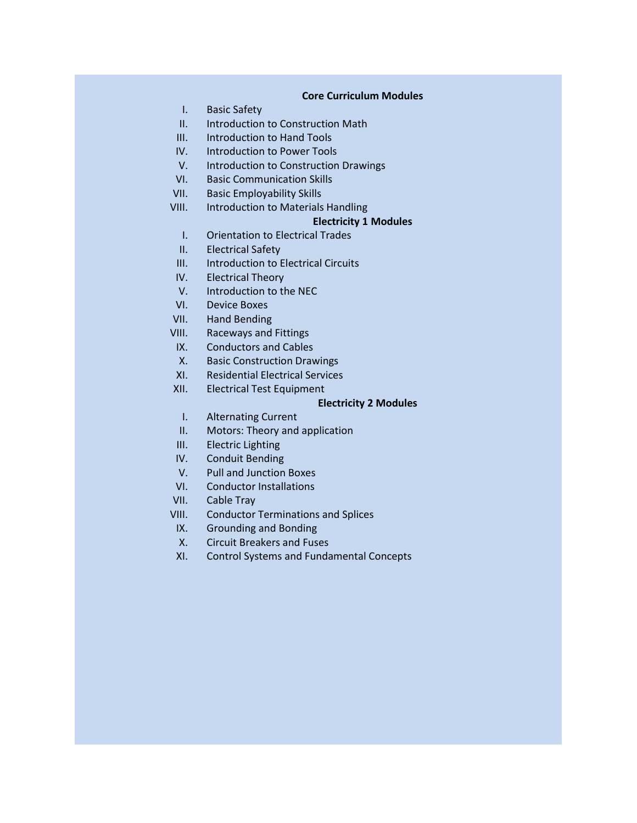#### **Core Curriculum Modules**

- I. Basic Safety
- II. Introduction to Construction Math
- III. Introduction to Hand Tools
- IV. Introduction to Power Tools
- V. Introduction to Construction Drawings
- VI. Basic Communication Skills
- VII. Basic Employability Skills
- VIII. Introduction to Materials Handling

## **Electricity 1 Modules**

- I. Orientation to Electrical Trades
- II. Electrical Safety
- III. Introduction to Electrical Circuits
- IV. Electrical Theory
- V. Introduction to the NEC
- VI. Device Boxes
- VII. Hand Bending
- VIII. Raceways and Fittings
- IX. Conductors and Cables
- X. Basic Construction Drawings
- XI. Residential Electrical Services
- XII. Electrical Test Equipment

### **Electricity 2 Modules**

- I. Alternating Current
- II. Motors: Theory and application
- III. Electric Lighting
- IV. Conduit Bending
- V. Pull and Junction Boxes
- VI. Conductor Installations
- VII. Cable Tray
- VIII. Conductor Terminations and Splices
- IX. Grounding and Bonding
- X. Circuit Breakers and Fuses
- XI. Control Systems and Fundamental Concepts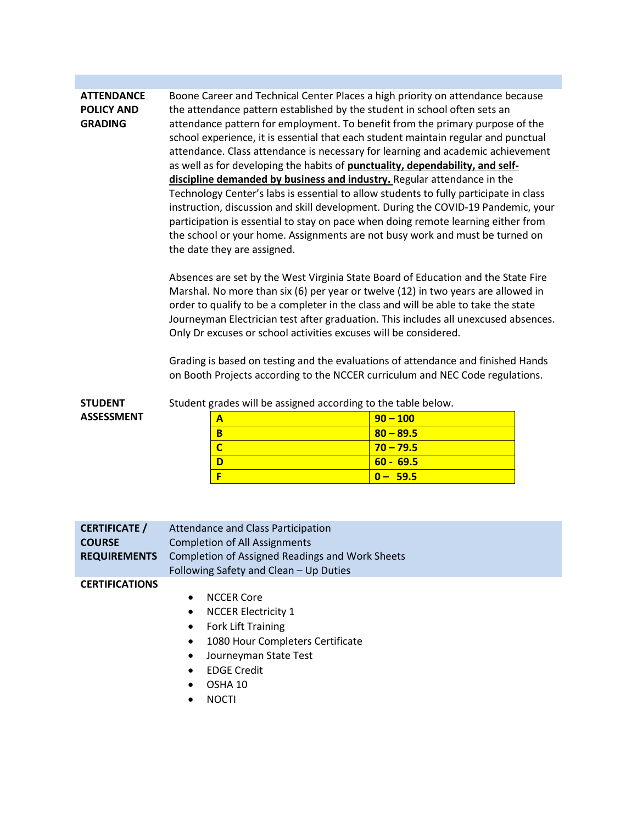#### **ATTENDANCE POLICY AND GRADING** Boone Career and Technical Center Places a high priority on attendance because the attendance pattern established by the student in school often sets an attendance pattern for employment. To benefit from the primary purpose of the school experience, it is essential that each student maintain regular and punctual attendance. Class attendance is necessary for learning and academic achievement as well as for developing the habits of **punctuality, dependability, and selfdiscipline demanded by business and industry.** Regular attendance in the Technology Center's labs is essential to allow students to fully participate in class instruction, discussion and skill development. During the COVID-19 Pandemic, your participation is essential to stay on pace when doing remote learning either from the school or your home. Assignments are not busy work and must be turned on the date they are assigned.

Absences are set by the West Virginia State Board of Education and the State Fire Marshal. No more than six (6) per year or twelve (12) in two years are allowed in order to qualify to be a completer in the class and will be able to take the state Journeyman Electrician test after graduation. This includes all unexcused absences. Only Dr excuses or school activities excuses will be considered.

Grading is based on testing and the evaluations of attendance and finished Hands on Booth Projects according to the NCCER curriculum and NEC Code regulations.

| <b>STUDENT</b>    | Student grades will be assigned according to the table below. |             |  |
|-------------------|---------------------------------------------------------------|-------------|--|
| <b>ASSESSMENT</b> |                                                               | $90 - 100$  |  |
|                   |                                                               | $80 - 89.5$ |  |
|                   |                                                               | $70 - 79.5$ |  |
|                   |                                                               | $60 - 69.5$ |  |

**F 0 – 59.5**

| <b>CERTIFICATE</b> / | Attendance and Class Participation              |  |
|----------------------|-------------------------------------------------|--|
| <b>COURSE</b>        | Completion of All Assignments                   |  |
| <b>REQUIREMENTS</b>  | Completion of Assigned Readings and Work Sheets |  |
|                      | Following Safety and Clean – Up Duties          |  |

#### **CERTIFICATIONS**

#### NCCER Core

- NCCER Electricity 1
- Fork Lift Training
- 1080 Hour Completers Certificate
- Journeyman State Test
- EDGE Credit
- OSHA 10
- NOCTI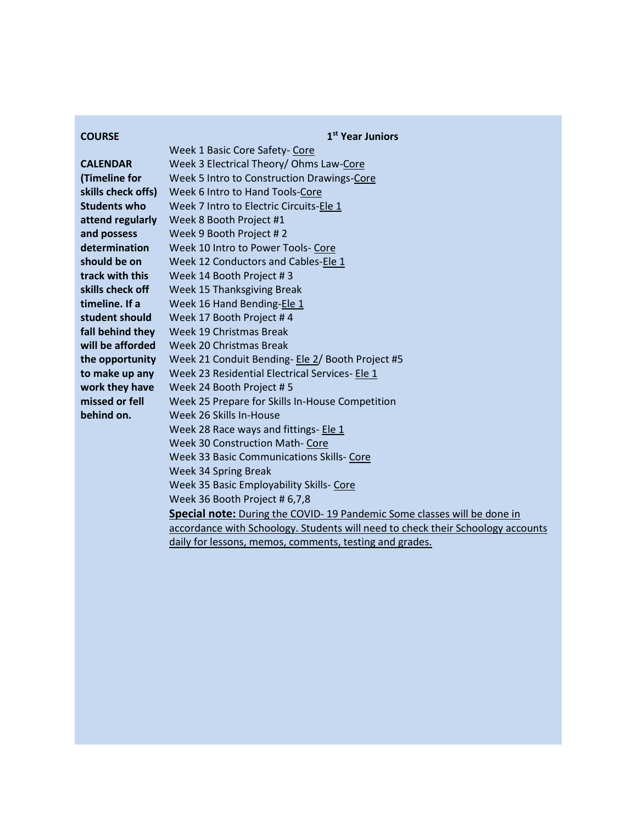| <b>COURSE</b>       | 1 <sup>st</sup> Year Juniors                                                    |  |  |
|---------------------|---------------------------------------------------------------------------------|--|--|
|                     | Week 1 Basic Core Safety- Core                                                  |  |  |
| <b>CALENDAR</b>     | Week 3 Electrical Theory/ Ohms Law-Core                                         |  |  |
| (Timeline for       | Week 5 Intro to Construction Drawings-Core                                      |  |  |
| skills check offs)  | Week 6 Intro to Hand Tools-Core                                                 |  |  |
| <b>Students who</b> | Week 7 Intro to Electric Circuits-Ele 1                                         |  |  |
| attend regularly    | Week 8 Booth Project #1                                                         |  |  |
| and possess         | Week 9 Booth Project #2                                                         |  |  |
| determination       | Week 10 Intro to Power Tools- Core                                              |  |  |
| should be on        | Week 12 Conductors and Cables-Ele 1                                             |  |  |
| track with this     | Week 14 Booth Project #3                                                        |  |  |
| skills check off    | Week 15 Thanksgiving Break                                                      |  |  |
| timeline. If a      | Week 16 Hand Bending-Ele 1                                                      |  |  |
| student should      | Week 17 Booth Project #4                                                        |  |  |
| fall behind they    | Week 19 Christmas Break                                                         |  |  |
| will be afforded    | Week 20 Christmas Break                                                         |  |  |
| the opportunity     | Week 21 Conduit Bending- Ele 2/ Booth Project #5                                |  |  |
| to make up any      | Week 23 Residential Electrical Services- Ele 1                                  |  |  |
| work they have      | Week 24 Booth Project #5                                                        |  |  |
| missed or fell      | Week 25 Prepare for Skills In-House Competition                                 |  |  |
| behind on.          | Week 26 Skills In-House                                                         |  |  |
|                     | Week 28 Race ways and fittings- Ele 1                                           |  |  |
|                     | <b>Week 30 Construction Math- Core</b>                                          |  |  |
|                     | Week 33 Basic Communications Skills- Core                                       |  |  |
|                     | Week 34 Spring Break                                                            |  |  |
|                     | Week 35 Basic Employability Skills- Core                                        |  |  |
|                     | Week 36 Booth Project # 6,7,8                                                   |  |  |
|                     | Special note: During the COVID-19 Pandemic Some classes will be done in         |  |  |
|                     | accordance with Schoology. Students will need to check their Schoology accounts |  |  |
|                     | daily for lessons, memos, comments, testing and grades.                         |  |  |
|                     |                                                                                 |  |  |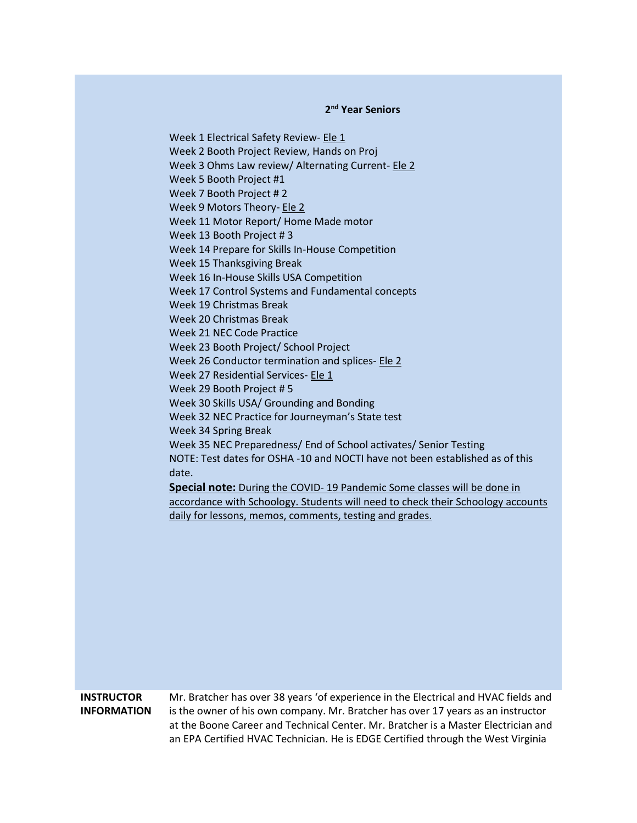# **2 nd Year Seniors**

Week 1 Electrical Safety Review- Ele 1 Week 2 Booth Project Review, Hands on Proj Week 3 Ohms Law review/ Alternating Current- Ele 2 Week 5 Booth Project #1 Week 7 Booth Project # 2 Week 9 Motors Theory- Ele 2 Week 11 Motor Report/ Home Made motor Week 13 Booth Project # 3 Week 14 Prepare for Skills In-House Competition Week 15 Thanksgiving Break Week 16 In-House Skills USA Competition Week 17 Control Systems and Fundamental concepts Week 19 Christmas Break Week 20 Christmas Break Week 21 NEC Code Practice Week 23 Booth Project/ School Project Week 26 Conductor termination and splices- Ele 2 Week 27 Residential Services- Ele 1 Week 29 Booth Project # 5 Week 30 Skills USA/ Grounding and Bonding Week 32 NEC Practice for Journeyman's State test Week 34 Spring Break Week 35 NEC Preparedness/ End of School activates/ Senior Testing NOTE: Test dates for OSHA -10 and NOCTI have not been established as of this date. **Special note:** During the COVID- 19 Pandemic Some classes will be done in accordance with Schoology. Students will need to check their Schoology accounts daily for lessons, memos, comments, testing and grades.

#### **INSTRUCTOR INFORMATION** Mr. Bratcher has over 38 years 'of experience in the Electrical and HVAC fields and is the owner of his own company. Mr. Bratcher has over 17 years as an instructor at the Boone Career and Technical Center. Mr. Bratcher is a Master Electrician and an EPA Certified HVAC Technician. He is EDGE Certified through the West Virginia